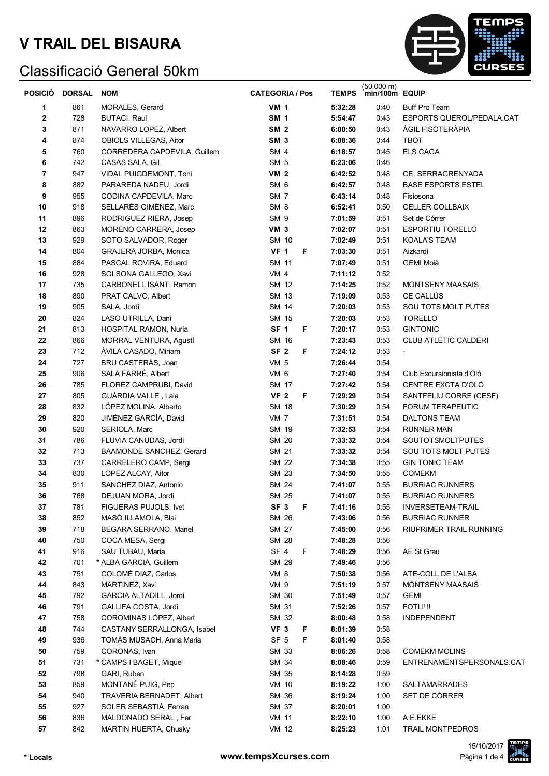

| <b>POSICIÓ</b>          | <b>DORSAL</b> | <b>NOM</b>                    | <b>CATEGORIA / Pos</b> | <b>TEMPS</b> | $(50.000 \text{ m})$ min/100m EQUIP |                             |
|-------------------------|---------------|-------------------------------|------------------------|--------------|-------------------------------------|-----------------------------|
| 1                       | 861           | MORALES, Gerard               | <b>VM 1</b>            | 5:32:28      | 0:40                                | <b>Buff Pro Team</b>        |
| 2                       | 728           | <b>BUTACI, Raul</b>           | SM <sub>1</sub>        | 5:54:47      | 0:43                                | ESPORTS QUEROL/PEDALA.CAT   |
| 3                       | 871           | NAVARRO LOPEZ, Albert         | SM <sub>2</sub>        | 6:00:50      | 0:43                                | ÀGIL FISOTERÀPIA            |
| 4                       | 874           | OBIOLS VILLEGAS, Aitor        | SM <sub>3</sub>        | 6:08:36      | 0:44                                | <b>TBOT</b>                 |
| 5                       | 760           | CORREDERA CAPDEVILA, Guillem  | SM <sub>4</sub>        | 6:18:57      | 0:45                                | <b>ELS CAGA</b>             |
| 6                       | 742           | CASAS SALA, Gil               | SM <sub>5</sub>        | 6:23:06      | 0:46                                |                             |
| $\overline{\mathbf{r}}$ | 947           | VIDAL PUIGDEMONT, Toni        | <b>VM 2</b>            | 6:42:52      | 0:48                                | CE. SERRAGRENYADA           |
| 8                       | 882           | PARAREDA NADEU, Jordi         | SM <sub>6</sub>        | 6:42:57      | 0:48                                | <b>BASE ESPORTS ESTEL</b>   |
| 9                       | 955           | CODINA CAPDEVILA, Marc        | SM <sub>7</sub>        | 6:43:14      | 0:48                                | Fisiosona                   |
| 10                      | 918           | SELLARÉS GIMÉNEZ, Marc        | SM <sub>8</sub>        | 6:52:41      | 0:50                                | <b>CELLER COLLBAIX</b>      |
| 11                      | 896           | RODRIGUEZ RIERA, Josep        | SM 9                   | 7:01:59      | 0:51                                | Set de Córrer               |
| 12                      | 863           | MORENO CARRERA, Josep         | <b>VM 3</b>            | 7:02:07      | 0:51                                | <b>ESPORTIU TORELLO</b>     |
| 13                      | 929           | SOTO SALVADOR, Roger          | SM 10                  | 7:02:49      | 0:51                                | <b>KOALA'S TEAM</b>         |
| 14                      | 804           | GRAJERA JORBA, Monica         | <b>VF 1</b><br>F       | 7:03:30      | 0:51                                | Aizkardi                    |
| 15                      | 884           | PASCAL ROVIRA, Eduard         | <b>SM 11</b>           | 7:07:49      | 0:51                                | <b>GEMI Moià</b>            |
| 16                      | 928           | SOLSONA GALLEGO, Xavi         | VM <sub>4</sub>        | 7:11:12      | 0:52                                |                             |
| 17                      | 735           | CARBONELL ISANT, Ramon        | SM 12                  | 7:14:25      | 0:52                                | <b>MONTSENY MAASAIS</b>     |
| 18                      | 890           | PRAT CALVO, Albert            | SM 13                  | 7:19:09      | 0:53                                | CE CALLÚS                   |
| 19                      | 905           | SALA, Jordi                   | SM 14                  | 7:20:03      | 0:53                                | SOU TOTS MOLT PUTES         |
| 20                      | 824           | LASO UTRILLA, Dani            | SM 15                  | 7:20:03      | 0:53                                | <b>TORELLO</b>              |
| 21                      | 813           | HOSPITAL RAMON, Nuria         | SF <sub>1</sub><br>F   | 7:20:17      | 0:53                                | <b>GINTONIC</b>             |
| 22                      | 866           | MORRAL VENTURA, Aqustí        | SM 16                  | 7:23:43      | 0:53                                | <b>CLUB ATLETIC CALDERI</b> |
| 23                      | 712           | ÀVILA CASADO, Miriam          | SF <sub>2</sub><br>F   | 7:24:12      | 0:53                                |                             |
| 24                      | 727           | BRU CASTERÀS, Joan            | VM <sub>5</sub>        | 7:26:44      | 0:54                                |                             |
| 25                      | 906           | SALA FARRÉ, Albert            | VM 6                   | 7:27:40      | 0:54                                | Club Excursionista d'Oló    |
| 26                      | 785           | FLOREZ CAMPRUBI, David        | SM 17                  | 7:27:42      | 0:54                                | CENTRE EXCTA D'OLÓ          |
| 27                      | 805           | GUÀRDIA VALLE, Laia           | VF <sub>2</sub><br>F   | 7:29:29      | 0:54                                | SANTFELIU CORRE (CESF)      |
| 28                      | 832           | LÓPEZ MOLINA, Alberto         | SM 18                  | 7:30:29      | 0:54                                | <b>FORUM TERAPEUTIC</b>     |
| 29                      | 820           | JIMÉNEZ GARCÍA, David         | VM <sub>7</sub>        | 7:31:51      | 0:54                                | <b>DALTONS TEAM</b>         |
| 30                      | 920           | SERIOLA, Marc                 | SM 19                  | 7:32:53      | 0:54                                | <b>RUNNER MAN</b>           |
| 31                      | 786           | FLUVIA CANUDAS, Jordi         | SM 20                  | 7:33:32      | 0:54                                | <b>SOUTOTSMOLTPUTES</b>     |
| 32                      | 713           | BAAMONDE SANCHEZ, Gerard      | SM 21                  | 7:33:32      | 0:54                                | SOU TOTS MOLT PUTES         |
| 33                      | 737           | CARRELERO CAMP, Sergi         | SM 22                  | 7:34:38      | 0:55                                | <b>GIN TONIC TEAM</b>       |
| 34                      | 830           | LOPEZ ALCAY, Aitor            | SM 23                  | 7:34:50      | 0:55                                | <b>COMEKM</b>               |
| 35                      | 911           | SANCHEZ DIAZ, Antonio         | SM 24                  | 7:41:07      | 0:55                                | <b>BURRIAC RUNNERS</b>      |
| 36                      | 768           | DEJUAN MORA, Jordi            | SM 25                  | 7:41:07      | 0:55                                | <b>BURRIAC RUNNERS</b>      |
| 37                      | 781           | FIGUERAS PUJOLS, Ivet         | SF <sub>3</sub><br>F   | 7:41:16      | 0:55                                | <b>INVERSETEAM-TRAIL</b>    |
| 38                      | 852           | MASÓ ILLAMOLA, Blai           | SM 26                  | 7:43:06      | 0:56                                | <b>BURRIAC RUNNER</b>       |
| 39                      | 718           | BEGARA SERRANO, Manel         | SM 27                  | 7:45:00      | 0:56                                | RIUPRIMER TRAIL RUNNING     |
| 40                      | 750           | COCA MESA, Sergi              | SM 28                  | 7:48:28      | 0:56                                |                             |
| 41                      | 916           | SAU TUBAU, Maria              | SF <sub>4</sub><br>F.  | 7:48:29      | 0:56                                | AE St Grau                  |
| 42                      | 701           | * ALBA GARCIA, Guillem        | SM 29                  | 7:49:46      | 0:56                                |                             |
| 43                      | 751           | COLOMÉ DIAZ, Carlos           | VM 8                   | 7:50:38      | 0:56                                | ATE-COLL DE L'ALBA          |
| 44                      | 843           | MARTINEZ, Xavi                | VM 9                   | 7:51:19      | 0:57                                | <b>MONTSENY MAASAIS</b>     |
| 45                      | 792           | <b>GARCIA ALTADILL, Jordi</b> | SM 30                  | 7:51:49      | 0:57                                | GEMI                        |
| 46                      | 791           | <b>GALLIFA COSTA, Jordi</b>   | SM 31                  | 7:52:26      | 0:57                                | FOTLI!!!                    |
| 47                      | 758           | COROMINAS LÓPEZ, Albert       | SM 32                  | 8:00:48      | 0:58                                | <b>INDEPENDENT</b>          |
| 48                      | 744           | CASTANY SERRALLONGA, Isabel   | VF <sub>3</sub><br>F   | 8:01:39      | 0:58                                |                             |
| 49                      | 936           | TOMÀS MUSACH, Anna Maria      | SF <sub>5</sub><br>F   | 8:01:40      | 0:58                                |                             |
| 50                      | 759           | CORONAS, Ivan                 | SM 33                  | 8:06:26      | 0:58                                | <b>COMEKM MOLINS</b>        |
| 51                      | 731           | * CAMPS I BAGET, Miquel       | SM 34                  | 8:08:46      | 0:59                                | ENTRENAMENTSPERSONALS.CAT   |
| 52                      | 798           | GARI, Ruben                   | SM 35                  | 8:14:28      | 0:59                                |                             |
| 53                      | 859           | MONTANÉ PUIG, Pep             | <b>VM 10</b>           | 8:19:22      | 1:00                                | <b>SALTAMARRADES</b>        |
| 54                      | 940           | TRAVERIA BERNADET, Albert     | SM 36                  | 8:19:24      | 1:00                                | SET DE CÓRRER               |
| 55                      | 927           | SOLER SEBASTIÀ, Ferran        | SM 37                  | 8:20:01      | 1:00                                |                             |
| 56                      | 836           | MALDONADO SERAL, Fer          | <b>VM 11</b>           | 8:22:10      | 1:00                                | A.E.EKKE                    |
| 57                      | 842           | MARTIN HUERTA, Chusky         | VM 12                  | 8:25:23      | 1:01                                | <b>TRAIL MONTPEDROS</b>     |

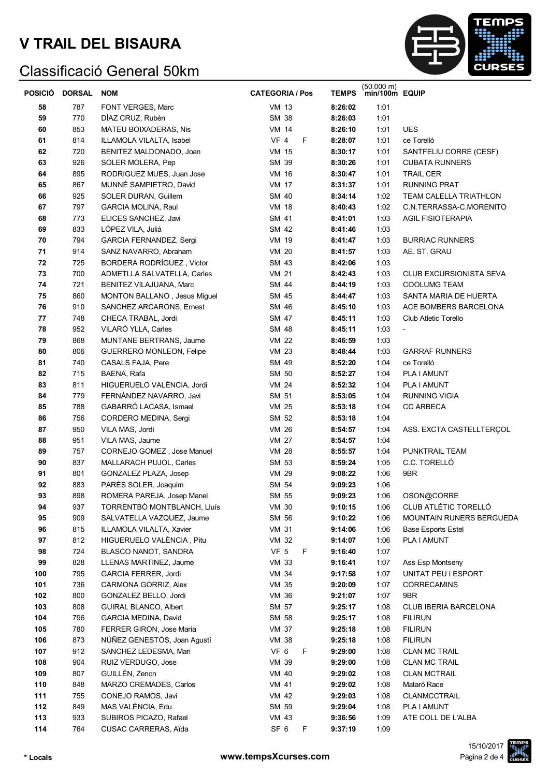

| <b>POSICIÓ</b> | <b>DORSAL</b> | <b>NOM</b>                                                | <b>CATEGORIA / Pos</b> | <b>TEMPS</b>       | $(50.000 \text{ m})$ min/100m EQUIP |                                    |
|----------------|---------------|-----------------------------------------------------------|------------------------|--------------------|-------------------------------------|------------------------------------|
| 58             | 787           | FONT VERGES, Marc                                         | <b>VM 13</b>           | 8:26:02            | 1:01                                |                                    |
| 59             | 770           | DÍAZ CRUZ, Rubén                                          | SM 38                  | 8:26:03            | 1:01                                |                                    |
| 60             | 853           | MATEU BOIXADERAS, Nis                                     | <b>VM 14</b>           | 8:26:10            | 1:01                                | <b>UES</b>                         |
| 61             | 814           | ILLAMOLA VILALTA, Isabel                                  | VF <sub>4</sub><br>F   | 8:28:07            | 1:01                                | ce Torelló                         |
| 62             | 720           | BENITEZ MALDONADO, Joan                                   | <b>VM 15</b>           | 8:30:17            | 1:01                                | SANTFELIU CORRE (CESF)             |
| 63             | 926           | SOLER MOLERA, Pep                                         | SM 39                  | 8:30:26            | 1:01                                | <b>CUBATA RUNNERS</b>              |
| 64             | 895           | RODRIGUEZ MUES, Juan Jose                                 | VM 16                  | 8:30:47            | 1:01                                | <b>TRAIL CER</b>                   |
| 65             | 867           | MUNNÉ SAMPIETRO, David                                    | <b>VM 17</b>           | 8:31:37            | 1:01                                | <b>RUNNING PRAT</b>                |
| 66             | 925           | SOLER DURAN, Guillem                                      | SM 40                  | 8:34:14            | 1:02                                | TEAM CALELLA TRIATHLON             |
| 67             | 797           | <b>GARCIA MOLINA, Raul</b>                                | <b>VM 18</b>           | 8:40:43            | 1:02                                | C.N.TERRASSA-C.MORENITO            |
| 68             | 773           | ELICES SANCHEZ, Javi                                      | SM 41                  | 8:41:01            | 1:03                                | <b>AGIL FISIOTERAPIA</b>           |
| 69             | 833           | LÓPEZ VILA, Julià                                         | SM 42                  | 8:41:46            | 1:03                                |                                    |
| 70             | 794           | <b>GARCIA FERNANDEZ, Sergi</b>                            | VM 19                  | 8:41:47            | 1:03                                | <b>BURRIAC RUNNERS</b>             |
| 71             | 914           | SANZ NAVARRO, Abraham                                     | <b>VM 20</b>           | 8:41:57            | 1:03                                | AE. ST. GRAU                       |
| 72             | 725           | BORDERA RODRÍGUEZ, Victor                                 | SM 43                  | 8:42:06            | 1:03                                |                                    |
| 73             | 700           | ADMETLLA SALVATELLA, Carles                               | VM 21                  | 8:42:43            | 1:03                                | CLUB EXCURSIONISTA SEVA            |
| 74             | 721           | BENITEZ VILAJUANA, Marc                                   | SM 44                  | 8:44:19            | 1:03                                | <b>COOLUMG TEAM</b>                |
| 75             | 860           | MONTON BALLANO, Jesus Miguel                              | SM 45                  | 8:44:47            | 1:03                                | SANTA MARIA DE HUERTA              |
| 76             | 910           | SANCHEZ ARCARONS, Ernest                                  | SM 46                  | 8:45:10            | 1:03                                | ACE BOMBERS BARCELONA              |
| 77             | 748           | CHECA TRABAL, Jordi                                       | SM 47                  | 8:45:11            | 1:03                                | Club Atletic Torello               |
| 78             | 952           | VILARÓ YLLA, Carles                                       | SM 48                  | 8:45:11            | 1:03                                | $\overline{\phantom{a}}$           |
| 79             | 868           | MUNTANE BERTRANS, Jaume                                   | <b>VM 22</b>           | 8:46:59            | 1:03                                |                                    |
| 80             | 806           | GUERRERO MONLEON, Felipe                                  | <b>VM 23</b>           | 8:48:44            | 1:03                                | <b>GARRAF RUNNERS</b>              |
| 81             | 740           | CASALS FAJA, Pere                                         | SM 49                  | 8:52:20            | 1:04                                | ce Torelló                         |
| 82             | 715           | BAENA, Rafa                                               | SM 50                  | 8:52:27            | 1:04                                | PLA I AMUNT                        |
| 83             | 811           | HIGUERUELO VALÈNCIA, Jordi                                | VM 24                  | 8:52:32            | 1:04                                | PLA I AMUNT                        |
| 84             | 779           | FERNÁNDEZ NAVARRO, Javi                                   | SM 51                  | 8:53:05            | 1:04                                | <b>RUNNING VIGIA</b>               |
| 85             | 788           | GABARRÓ LACASA, Ismael                                    | VM 25                  | 8:53:18            | 1:04                                | <b>CC ARBECA</b>                   |
| 86             | 756           | CORDERO MEDINA, Sergi                                     | SM 52                  | 8:53:18            | 1:04                                |                                    |
| 87             | 950           | VILA MAS, Jordi                                           | VM 26                  | 8:54:57            | 1:04                                | ASS. EXCTA CASTELLTERÇOL           |
| 88             | 951           | VILA MAS, Jaume                                           | VM 27                  | 8:54:57            | 1:04                                |                                    |
| 89             | 757           | CORNEJO GOMEZ, Jose Manuel                                | <b>VM 28</b>           | 8:55:57            | 1:04                                | PUNKTRAIL TEAM                     |
| 90             | 837           | MALLARACH PUJOL, Carles                                   | SM 53                  | 8:59:24            | 1:05                                | C.C. TORELLÓ                       |
| 91             | 801           | GONZALEZ PLAZA, Josep                                     | <b>VM 29</b>           | 9:08:22            | 1:06                                | 9BR                                |
| 92             | 883           | PARÉS SOLER, Joaquim                                      | SM 54                  | 9:09:23            | 1:06                                |                                    |
| 93             | 898           | ROMERA PAREJA, Josep Manel<br>TORRENTBO MONTBLANCH, Lluís | SM 55                  | 9:09:23            | 1:06                                | OSON@CORRE<br>CLUB ATLÈTIC TORELLÓ |
| 94<br>95       | 937<br>909    | SALVATELLA VAZQUEZ, Jaume                                 | VM 30<br>SM 56         | 9:10:15            | 1:06<br>1:06                        | MOUNTAIN RUNERS BERGUEDA           |
| 96             | 815           | ILLAMOLA VILALTA, Xavier                                  | VM 31                  | 9:10:22<br>9:14:06 | 1:06                                | <b>Base Esports Estel</b>          |
| 97             | 812           | HIGUERUELO VALÈNCIA, Pitu                                 | VM 32                  | 9:14:07            | 1:06                                | PLA I AMUNT                        |
| 98             | 724           | BLASCO NANOT, SANDRA                                      | VF <sub>5</sub><br>F   | 9:16:40            | 1:07                                |                                    |
| 99             | 828           | LLENAS MARTINEZ, Jaume                                    | <b>VM 33</b>           | 9:16:41            | 1:07                                | Ass Esp Montseny                   |
| 100            | 795           | <b>GARCIA FERRER, Jordi</b>                               | VM 34                  | 9:17:58            | 1:07                                | UNITAT PEU I ESPORT                |
| 101            | 736           | CARMONA GORRIZ, Alex                                      | VM 35                  | 9:20:09            | 1:07                                | <b>CORRECAMINS</b>                 |
| 102            | 800           | GONZALEZ BELLO, Jordi                                     | VM 36                  | 9:21:07            | 1:07                                | 9BR                                |
| 103            | 808           | <b>GUIRAL BLANCO, Albert</b>                              | SM 57                  | 9:25:17            | 1:08                                | CLUB IBERIA BARCELONA              |
| 104            | 796           | GARCIA MEDINA, David                                      | SM 58                  | 9:25:17            | 1:08                                | <b>FILIRUN</b>                     |
| 105            | 780           | FERRER GIRON, Jose Maria                                  | VM 37                  | 9:25:18            | 1:08                                | <b>FILIRUN</b>                     |
| 106            | 873           | NÚÑEZ GENESTÓS, Joan Agustí                               | VM 38                  | 9:25:18            | 1:08                                | <b>FILIRUN</b>                     |
| 107            | 912           | SANCHEZ LEDESMA, Mari                                     | VF 6<br>F.             | 9:29:00            | 1:08                                | <b>CLAN MC TRAIL</b>               |
| 108            | 904           | RUIZ VERDUGO, Jose                                        | VM 39                  | 9:29:00            | 1:08                                | <b>CLAN MC TRAIL</b>               |
| 109            | 807           | GUILLÉN, Zenon                                            | VM 40                  | 9:29:02            | 1:08                                | <b>CLAN MCTRAIL</b>                |
| 110            | 848           | MARZO CREMADES, Carlos                                    | VM 41                  | 9:29:02            | 1:08                                | Mataró Race                        |
| 111            | 755           | CONEJO RAMOS, Javi                                        | VM 42                  | 9:29:03            | 1:08                                | CLANMCCTRAIL                       |
| 112            | 849           | MAS VALÈNCIA, Edu                                         | SM 59                  | 9:29:04            | 1:08                                | PLA I AMUNT                        |
| 113            | 933           | SUBIROS PICAZO, Rafael                                    | VM 43                  | 9:36:56            | 1:09                                | ATE COLL DE L'ALBA                 |
| 114            | 764           | CUSAC CARRERAS, Aïda                                      | SF <sub>6</sub><br>F   | 9:37:19            | 1:09                                |                                    |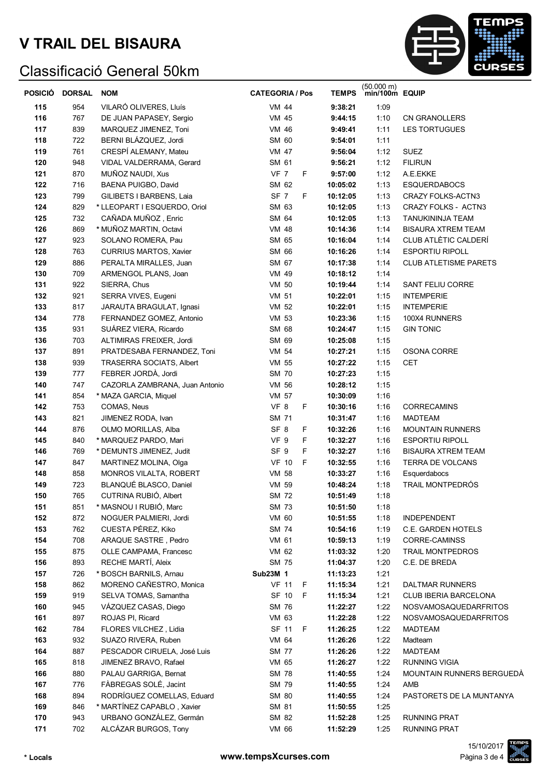

| <b>POSICIÓ</b> | <b>DORSAL</b> | <b>NOM</b>                      | <b>CATEGORIA / Pos</b>      |    | <b>TEMPS</b> | (50.000 m)<br>min/100m EQUIP |                              |
|----------------|---------------|---------------------------------|-----------------------------|----|--------------|------------------------------|------------------------------|
| 115            | 954           | VILARÓ OLIVERES, Lluís          | <b>VM 44</b>                |    | 9:38:21      | 1:09                         |                              |
| 116            | 767           | DE JUAN PAPASEY, Sergio         | <b>VM 45</b>                |    | 9:44:15      | 1:10                         | <b>CN GRANOLLERS</b>         |
| 117            | 839           | MARQUEZ JIMENEZ, Toni           | VM 46                       |    | 9:49:41      | 1:11                         | LES TORTUGUES                |
| 118            | 722           | BERNI BLÁZQUEZ, Jordi           | SM 60                       |    | 9:54:01      | 1:11                         |                              |
| 119            | 761           | CRESPÍ ALEMANY, Mateu           | VM 47                       |    | 9:56:04      | 1:12                         | <b>SUEZ</b>                  |
| 120            | 948           | VIDAL VALDERRAMA, Gerard        | SM 61                       |    | 9:56:21      | 1:12                         | <b>FILIRUN</b>               |
| 121            | 870           | MUÑOZ NAUDI, Xus                | VF 7<br>F                   |    | 9:57:00      | 1:12                         | A.E.EKKE                     |
| 122            | 716           | BAENA PUIGBO, David             | SM 62                       |    | 10:05:02     | 1:13                         | <b>ESQUERDABOCS</b>          |
| 123            | 799           | GILIBETS I BARBENS, Laia        | SF <sub>7</sub><br>F        |    | 10:12:05     | 1:13                         | <b>CRAZY FOLKS-ACTN3</b>     |
| 124            | 829           | * LLEOPART I ESQUERDO, Oriol    | SM 63                       |    | 10:12:05     | 1:13                         | <b>CRAZY FOLKS - ACTN3</b>   |
| 125            | 732           | CAÑADA MUÑOZ, Enric             | SM 64                       |    | 10:12:05     | 1:13                         | TANUKININJA TEAM             |
| 126            | 869           | * MUÑOZ MARTIN, Octavi          | <b>VM 48</b>                |    | 10:14:36     | 1:14                         | <b>BISAURA XTREM TEAM</b>    |
| 127            | 923           | SOLANO ROMERA, Pau              | SM 65                       |    | 10:16:04     | 1:14                         | CLUB ATLÈTIC CALDERÍ         |
| 128            | 763           | <b>CURRIUS MARTOS, Xavier</b>   | SM 66                       |    | 10:16:26     | 1:14                         | <b>ESPORTIU RIPOLL</b>       |
| 129            | 886           | PERALTA MIRALLES, Juan          | SM 67                       |    | 10:17:38     | 1:14                         | <b>CLUB ATLETISME PARETS</b> |
| 130            | 709           | ARMENGOL PLANS, Joan            | VM 49                       |    | 10:18:12     | 1:14                         |                              |
| 131            | 922           | SIERRA, Chus                    | VM 50                       |    | 10:19:44     | 1:14                         | SANT FELIU CORRE             |
| 132            | 921           | SERRA VIVES, Eugeni             | <b>VM 51</b>                |    | 10:22:01     | 1:15                         | <b>INTEMPERIE</b>            |
| 133            | 817           | JARAUTA BRAGULAT, Ignasi        | VM 52                       |    | 10:22:01     | 1:15                         | <b>INTEMPERIE</b>            |
| 134            | 778           | FERNANDEZ GOMEZ, Antonio        | VM 53                       |    | 10:23:36     | 1:15                         | 100X4 RUNNERS                |
| 135            | 931           | SUÁREZ VIERA, Ricardo           | SM 68                       |    | 10:24:47     | 1:15                         | <b>GIN TONIC</b>             |
| 136            | 703           | ALTIMIRAS FREIXER, Jordi        | SM 69                       |    | 10:25:08     | 1:15                         |                              |
| 137            | 891           | PRATDESABA FERNANDEZ, Toni      | VM 54                       |    | 10:27:21     | 1:15                         | OSONA CORRE                  |
| 138            | 939           | <b>TRASERRA SOCIATS, Albert</b> | VM 55                       |    | 10:27:22     | 1:15                         | <b>CET</b>                   |
| 139            | 777           | FEBRER JORDÀ, Jordi             | <b>SM 70</b>                |    | 10:27:23     | 1:15                         |                              |
| 140            | 747           | CAZORLA ZAMBRANA, Juan Antonio  | VM 56                       |    | 10:28:12     | 1:15                         |                              |
| 141            | 854           | * MAZA GARCIA, Miquel           | VM 57                       |    | 10:30:09     | 1:16                         |                              |
| 142            | 753           | COMAS, Neus                     | VF 8<br>F                   |    | 10:30:16     | 1:16                         | <b>CORRECAMINS</b>           |
| 143            | 821           | JIMENEZ RODA, Ivan              | SM 71                       |    | 10:31:47     | 1:16                         | <b>MADTEAM</b>               |
| 144            | 876           | OLMO MORILLAS, Alba             | SF <sub>8</sub>             | F  | 10:32:26     | 1:16                         | <b>MOUNTAIN RUNNERS</b>      |
| 145            | 840           | * MARQUEZ PARDO, Mari           | VF 9                        | F  | 10:32:27     | 1:16                         | <b>ESPORTIU RIPOLL</b>       |
| 146            | 769           | * DEMUNTS JIMENEZ, Judit        | SF 9                        | F. | 10:32:27     | 1:16                         | <b>BISAURA XTREM TEAM</b>    |
| 147            | 847           | MARTINEZ MOLINA, Olga           | $\mathsf F$<br><b>VF 10</b> |    | 10:32:55     | 1:16                         | TERRA DE VOLCANS             |
| 148            | 858           | MONROS VILALTA, ROBERT          | <b>VM 58</b>                |    | 10:33:27     | 1:16                         | Esquerdabocs                 |
| 149            | 723           | BLANQUÉ BLASCO, Daniel          | VM 59                       |    | 10:48:24     | 1:18                         | <b>TRAIL MONTPEDRÓS</b>      |
| 150            | 765           | CUTRINA RUBIÓ, Albert           | SM 72                       |    | 10:51:49     | 1:18                         |                              |
| 151            | 851           | * MASNOU I RUBIÓ, Marc          | SM 73                       |    | 10:51:50     | 1:18                         |                              |
| 152            | 872           | NOGUER PALMIERI, Jordi          | VM 60                       |    | 10:51:55     | 1:18                         | <b>INDEPENDENT</b>           |
| 153            | 762           | CUESTA PÉREZ, Kiko              | SM 74                       |    | 10:54:16     | 1:19                         | <b>C.E. GARDEN HOTELS</b>    |
| 154            | 708           | ARAQUE SASTRE, Pedro            | VM 61                       |    | 10:59:13     | 1:19                         | <b>CORRE-CAMINSS</b>         |
| 155            | 875           | OLLE CAMPAMA, Francesc          | VM 62                       |    | 11:03:32     | 1:20                         | <b>TRAIL MONTPEDROS</b>      |
| 156            | 893           | RECHE MARTÍ, Aleix              | SM 75                       |    | 11:04:37     | 1:20                         | C.E. DE BREDA                |
| 157            | 726           | * BOSCH BARNILS, Arnau          | Sub23M 1                    |    | 11:13:23     | 1:21                         |                              |
| 158            | 862           | MORENO CAÑESTRO, Monica         | <b>VF 11</b><br>F           |    | 11:15:34     | 1:21                         | <b>DALTMAR RUNNERS</b>       |
| 159            | 919           | SELVA TOMAS, Samantha           | SF 10<br>$\mathsf{F}$       |    | 11:15:34     | 1:21                         | CLUB IBERIA BARCELONA        |
| 160            | 945           | VÁZQUEZ CASAS, Diego            | SM 76                       |    | 11:22:27     | 1:22                         | <b>NOSVAMOSAQUEDARFRITOS</b> |
| 161            | 897           | ROJAS PI, Ricard                | VM 63                       |    | 11:22:28     | 1:22                         | NOSVAMOSAQUEDARFRITOS        |
| 162            | 784           | FLORES VILCHEZ, Lidia           | SF 11 F                     |    | 11:26:25     | 1:22                         | <b>MADTEAM</b>               |
| 163            | 932           | SUAZO RIVERA, Ruben             | VM 64                       |    | 11:26:26     | 1:22                         | Madteam                      |
| 164            | 887           | PESCADOR CIRUELA, José Luis     | SM 77                       |    | 11:26:26     | 1:22                         | <b>MADTEAM</b>               |
| 165            | 818           | JIMENEZ BRAVO, Rafael           | VM 65                       |    | 11:26:27     | 1:22                         | <b>RUNNING VIGIA</b>         |
| 166            | 880           | PALAU GARRIGA, Bernat           | SM 78                       |    | 11:40:55     | 1:24                         | MOUNTAIN RUNNERS BERGUEDÀ    |
| 167            | 776           | FÀBREGAS SOLÉ, Jacint           | SM 79                       |    | 11:40:55     | 1:24                         | AMB                          |
| 168            | 894           | RODRÍGUEZ COMELLAS, Eduard      | SM 80                       |    | 11:40:55     | 1:24                         | PASTORETS DE LA MUNTANYA     |
| 169            | 846           | * MARTÍNEZ CAPABLO, Xavier      | SM 81                       |    | 11:50:55     | 1:25                         |                              |
| 170            | 943           | URBANO GONZÁLEZ, Germán         | SM 82                       |    | 11:52:28     | 1:25                         | <b>RUNNING PRAT</b>          |
| 171            | 702           | ALCÁZAR BURGOS, Tony            | VM 66                       |    | 11:52:29     | 1:25                         | <b>RUNNING PRAT</b>          |